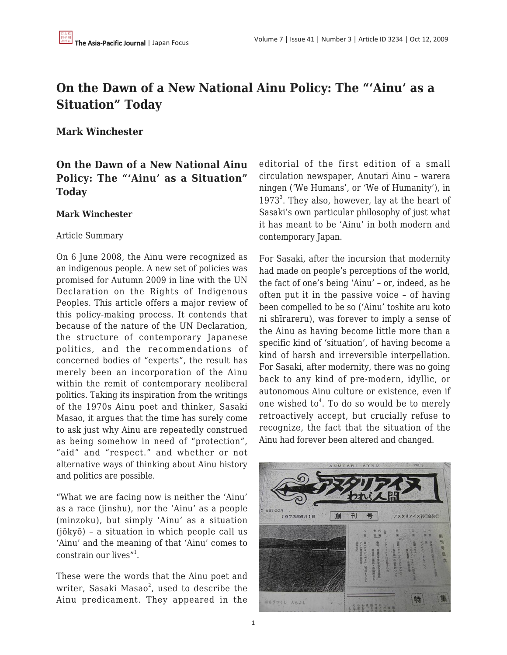# **On the Dawn of a New National Ainu Policy: The "'Ainu' as a Situation" Today**

**Mark Winchester**

## **On the Dawn of a New National Ainu Policy: The "'Ainu' as a Situation" Today**

## **Mark Winchester**

## Article Summary

On 6 June 2008, the Ainu were recognized as an indigenous people. A new set of policies was promised for Autumn 2009 in line with the UN Declaration on the Rights of Indigenous Peoples. This article offers a major review of this policy-making process. It contends that because of the nature of the UN Declaration, the structure of contemporary Japanese politics, and the recommendations of concerned bodies of "experts", the result has merely been an incorporation of the Ainu within the remit of contemporary neoliberal politics. Taking its inspiration from the writings of the 1970s Ainu poet and thinker, Sasaki Masao, it argues that the time has surely come to ask just why Ainu are repeatedly construed as being somehow in need of "protection", "aid" and "respect." and whether or not alternative ways of thinking about Ainu history and politics are possible.

"What we are facing now is neither the 'Ainu' as a race (jinshu), nor the 'Ainu' as a people (minzoku), but simply 'Ainu' as a situation (jōkyō) – a situation in which people call us 'Ainu' and the meaning of that 'Ainu' comes to constrain our lives"<sup>1</sup>.

These were the words that the Ainu poet and writer, Sasaki Masao $^2$ , used to describe the Ainu predicament. They appeared in the editorial of the first edition of a small circulation newspaper, Anutari Ainu – warera ningen ('We Humans', or 'We of Humanity'), in 1973<sup>3</sup>. They also, however, lay at the heart of Sasaki's own particular philosophy of just what it has meant to be 'Ainu' in both modern and contemporary Japan.

For Sasaki, after the incursion that modernity had made on people's perceptions of the world, the fact of one's being 'Ainu' – or, indeed, as he often put it in the passive voice – of having been compelled to be so ('Ainu' toshite aru koto ni shīrareru), was forever to imply a sense of the Ainu as having become little more than a specific kind of 'situation', of having become a kind of harsh and irreversible interpellation. For Sasaki, after modernity, there was no going back to any kind of pre-modern, idyllic, or autonomous Ainu culture or existence, even if one wished to<sup>4</sup>. To do so would be to merely retroactively accept, but crucially refuse to recognize, the fact that the situation of the Ainu had forever been altered and changed.

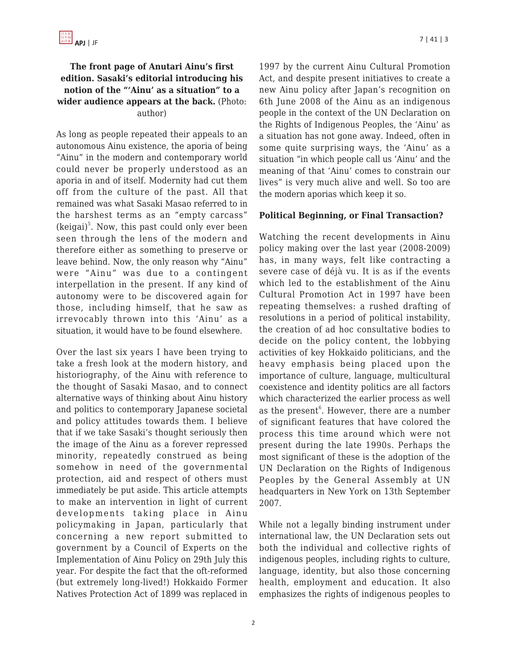## **The front page of Anutari Ainu's first edition. Sasaki's editorial introducing his notion of the "'Ainu' as a situation" to a wider audience appears at the back.** (Photo: author)

As long as people repeated their appeals to an autonomous Ainu existence, the aporia of being "Ainu" in the modern and contemporary world could never be properly understood as an aporia in and of itself. Modernity had cut them off from the culture of the past. All that remained was what Sasaki Masao referred to in the harshest terms as an "empty carcass" (keigai) 5 . Now, this past could only ever been seen through the lens of the modern and therefore either as something to preserve or leave behind. Now, the only reason why "Ainu" were "Ainu" was due to a contingent interpellation in the present. If any kind of autonomy were to be discovered again for those, including himself, that he saw as irrevocably thrown into this 'Ainu' as a situation, it would have to be found elsewhere.

Over the last six years I have been trying to take a fresh look at the modern history, and historiography, of the Ainu with reference to the thought of Sasaki Masao, and to connect alternative ways of thinking about Ainu history and politics to contemporary Japanese societal and policy attitudes towards them. I believe that if we take Sasaki's thought seriously then the image of the Ainu as a forever repressed minority, repeatedly construed as being somehow in need of the governmental protection, aid and respect of others must immediately be put aside. This article attempts to make an intervention in light of current developments taking place in Ainu policymaking in Japan, particularly that concerning a new report submitted to government by a Council of Experts on the Implementation of Ainu Policy on 29th July this year. For despite the fact that the oft-reformed (but extremely long-lived!) Hokkaido Former Natives Protection Act of 1899 was replaced in 1997 by the current Ainu Cultural Promotion Act, and despite present initiatives to create a new Ainu policy after Japan's recognition on 6th June 2008 of the Ainu as an indigenous people in the context of the UN Declaration on the Rights of Indigenous Peoples, the 'Ainu' as a situation has not gone away. Indeed, often in some quite surprising ways, the 'Ainu' as a situation "in which people call us 'Ainu' and the meaning of that 'Ainu' comes to constrain our lives" is very much alive and well. So too are the modern aporias which keep it so.

#### **Political Beginning, or Final Transaction?**

Watching the recent developments in Ainu policy making over the last year (2008-2009) has, in many ways, felt like contracting a severe case of déjà vu. It is as if the events which led to the establishment of the Ainu Cultural Promotion Act in 1997 have been repeating themselves: a rushed drafting of resolutions in a period of political instability, the creation of ad hoc consultative bodies to decide on the policy content, the lobbying activities of key Hokkaido politicians, and the heavy emphasis being placed upon the importance of culture, language, multicultural coexistence and identity politics are all factors which characterized the earlier process as well as the present<sup>6</sup>. However, there are a number of significant features that have colored the process this time around which were not present during the late 1990s. Perhaps the most significant of these is the adoption of the UN Declaration on the Rights of Indigenous Peoples by the General Assembly at UN headquarters in New York on 13th September 2007.

While not a legally binding instrument under international law, the UN Declaration sets out both the individual and collective rights of indigenous peoples, including rights to culture, language, identity, but also those concerning health, employment and education. It also emphasizes the rights of indigenous peoples to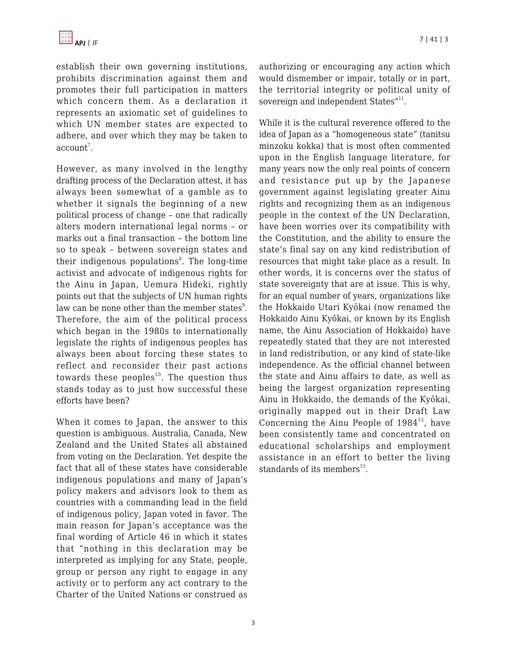establish their own governing institutions, prohibits discrimination against them and promotes their full participation in matters which concern them. As a declaration it represents an axiomatic set of guidelines to which UN member states are expected to adhere, and over which they may be taken to  $account<sup>7</sup>$ .

However, as many involved in the lengthy drafting process of the Declaration attest, it has always been somewhat of a gamble as to whether it signals the beginning of a new political process of change – one that radically alters modern international legal norms – or marks out a final transaction – the bottom line so to speak – between sovereign states and their indigenous populations<sup>8</sup>. The long-time activist and advocate of indigenous rights for the Ainu in Japan, Uemura Hideki, rightly points out that the subjects of UN human rights law can be none other than the member states $^{\circ}$ . Therefore, the aim of the political process which began in the 1980s to internationally legislate the rights of indigenous peoples has always been about forcing these states to reflect and reconsider their past actions towards these peoples<sup>10</sup>. The question thus stands today as to just how successful these efforts have been?

When it comes to Japan, the answer to this question is ambiguous. Australia, Canada, New Zealand and the United States all abstained from voting on the Declaration. Yet despite the fact that all of these states have considerable indigenous populations and many of Japan's policy makers and advisors look to them as countries with a commanding lead in the field of indigenous policy, Japan voted in favor. The main reason for Japan's acceptance was the final wording of Article 46 in which it states that "nothing in this declaration may be interpreted as implying for any State, people, group or person any right to engage in any activity or to perform any act contrary to the Charter of the United Nations or construed as authorizing or encouraging any action which would dismember or impair, totally or in part, the territorial integrity or political unity of sovereign and independent States"<sup>11</sup>.

While it is the cultural reverence offered to the idea of Japan as a "homogeneous state" (tanitsu minzoku kokka) that is most often commented upon in the English language literature, for many years now the only real points of concern and resistance put up by the Japanese government against legislating greater Ainu rights and recognizing them as an indigenous people in the context of the UN Declaration, have been worries over its compatibility with the Constitution, and the ability to ensure the state's final say on any kind redistribution of resources that might take place as a result. In other words, it is concerns over the status of state sovereignty that are at issue. This is why, for an equal number of years, organizations like the Hokkaido Utari Kyōkai (now renamed the Hokkaido Ainu Kyōkai, or known by its English name, the Ainu Association of Hokkaido) have repeatedly stated that they are not interested in land redistribution, or any kind of state-like independence. As the official channel between the state and Ainu affairs to date, as well as being the largest organization representing Ainu in Hokkaido, the demands of the Kyōkai, originally mapped out in their Draft Law Concerning the Ainu People of  $1984^{12}$ , have been consistently tame and concentrated on educational scholarships and employment assistance in an effort to better the living standards of its members $^{13}$ .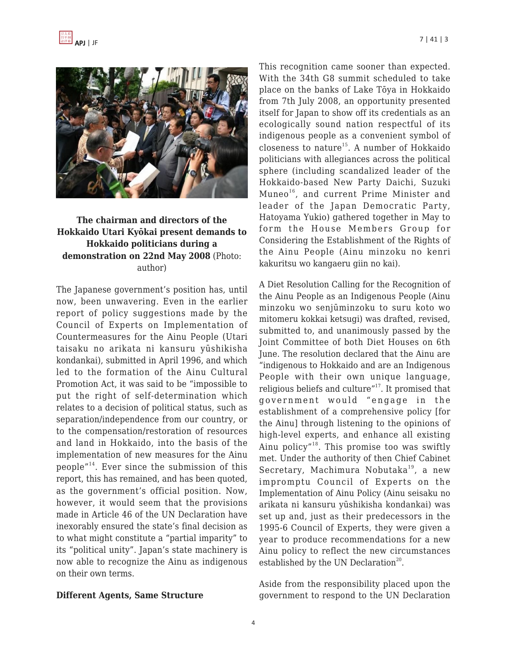

## **The chairman and directors of the Hokkaido Utari Kyōkai present demands to Hokkaido politicians during a demonstration on 22nd May 2008** (Photo: author)

The Japanese government's position has, until now, been unwavering. Even in the earlier report of policy suggestions made by the Council of Experts on Implementation of Countermeasures for the Ainu People (Utari taisaku no arikata ni kansuru yūshikisha kondankai), submitted in April 1996, and which led to the formation of the Ainu Cultural Promotion Act, it was said to be "impossible to put the right of self-determination which relates to a decision of political status, such as separation/independence from our country, or to the compensation/restoration of resources and land in Hokkaido, into the basis of the implementation of new measures for the Ainu people"<sup>14</sup>. Ever since the submission of this report, this has remained, and has been quoted, as the government's official position. Now, however, it would seem that the provisions made in Article 46 of the UN Declaration have inexorably ensured the state's final decision as to what might constitute a "partial imparity" to its "political unity". Japan's state machinery is now able to recognize the Ainu as indigenous on their own terms.

#### **Different Agents, Same Structure**

This recognition came sooner than expected. With the 34th G8 summit scheduled to take place on the banks of Lake Tōya in Hokkaido from 7th July 2008, an opportunity presented itself for Japan to show off its credentials as an ecologically sound nation respectful of its indigenous people as a convenient symbol of closeness to nature<sup>15</sup>. A number of Hokkaido politicians with allegiances across the political sphere (including scandalized leader of the Hokkaido-based New Party Daichi, Suzuki Muneo<sup>16</sup>, and current Prime Minister and leader of the Japan Democratic Party, Hatoyama Yukio) gathered together in May to form the House Members Group for Considering the Establishment of the Rights of the Ainu People (Ainu minzoku no kenri kakuritsu wo kangaeru giin no kai).

A Diet Resolution Calling for the Recognition of the Ainu People as an Indigenous People (Ainu minzoku wo senjūminzoku to suru koto wo mitomeru kokkai ketsugi) was drafted, revised, submitted to, and unanimously passed by the Joint Committee of both Diet Houses on 6th June. The resolution declared that the Ainu are "indigenous to Hokkaido and are an Indigenous People with their own unique language, religious beliefs and culture"<sup>17</sup>. It promised that government would "engage in the establishment of a comprehensive policy [for the Ainu] through listening to the opinions of high-level experts, and enhance all existing Ainu policy"<sup>18</sup>. This promise too was swiftly met. Under the authority of then Chief Cabinet Secretary, Machimura Nobutaka<sup>19</sup>, a new impromptu Council of Experts on the Implementation of Ainu Policy (Ainu seisaku no arikata ni kansuru yūshikisha kondankai) was set up and, just as their predecessors in the 1995-6 Council of Experts, they were given a year to produce recommendations for a new Ainu policy to reflect the new circumstances established by the UN Declaration<sup>20</sup>.

Aside from the responsibility placed upon the government to respond to the UN Declaration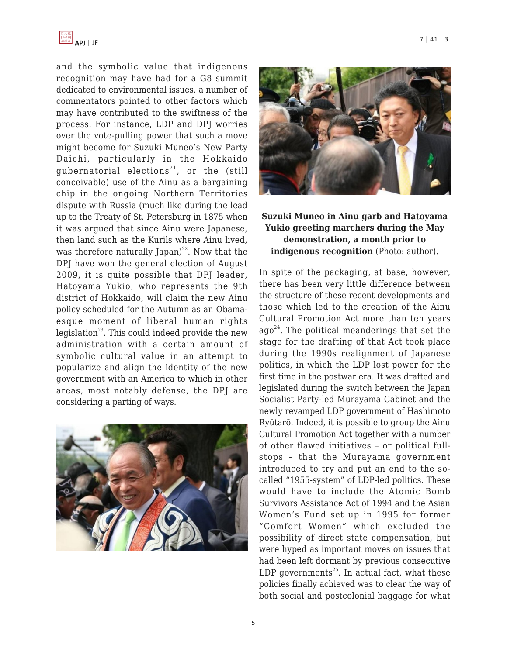

and the symbolic value that indigenous recognition may have had for a G8 summit dedicated to environmental issues, a number of commentators pointed to other factors which may have contributed to the swiftness of the process. For instance, LDP and DPJ worries over the vote-pulling power that such a move might become for Suzuki Muneo's New Party Daichi, particularly in the Hokkaido gubernatorial elections<sup>21</sup>, or the (still conceivable) use of the Ainu as a bargaining chip in the ongoing Northern Territories dispute with Russia (much like during the lead up to the Treaty of St. Petersburg in 1875 when it was argued that since Ainu were Japanese, then land such as the Kurils where Ainu lived, was therefore naturally Japan)<sup>22</sup>. Now that the DPJ have won the general election of August 2009, it is quite possible that DPJ leader, Hatoyama Yukio, who represents the 9th district of Hokkaido, will claim the new Ainu policy scheduled for the Autumn as an Obamaesque moment of liberal human rights legislation<sup>23</sup>. This could indeed provide the new administration with a certain amount of symbolic cultural value in an attempt to popularize and align the identity of the new government with an America to which in other areas, most notably defense, the DPJ are considering a parting of ways.





## **Suzuki Muneo in Ainu garb and Hatoyama Yukio greeting marchers during the May demonstration, a month prior to indigenous recognition** (Photo: author).

In spite of the packaging, at base, however, there has been very little difference between the structure of these recent developments and those which led to the creation of the Ainu Cultural Promotion Act more than ten years  $ago^{24}$ . The political meanderings that set the stage for the drafting of that Act took place during the 1990s realignment of Japanese politics, in which the LDP lost power for the first time in the postwar era. It was drafted and legislated during the switch between the Japan Socialist Party-led Murayama Cabinet and the newly revamped LDP government of Hashimoto Ryūtarō. Indeed, it is possible to group the Ainu Cultural Promotion Act together with a number of other flawed initiatives – or political fullstops – that the Murayama government introduced to try and put an end to the socalled "1955-system" of LDP-led politics. These would have to include the Atomic Bomb Survivors Assistance Act of 1994 and the Asian Women's Fund set up in 1995 for former "Comfort Women" which excluded the possibility of direct state compensation, but were hyped as important moves on issues that had been left dormant by previous consecutive LDP governments<sup>25</sup>. In actual fact, what these policies finally achieved was to clear the way of both social and postcolonial baggage for what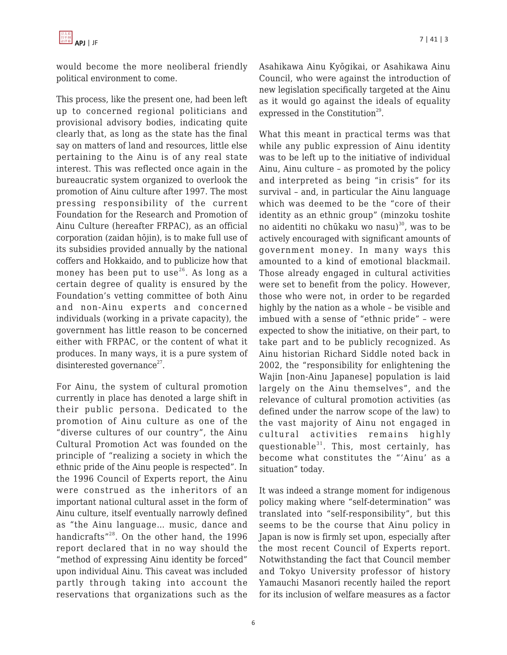

would become the more neoliberal friendly political environment to come.

This process, like the present one, had been left up to concerned regional politicians and provisional advisory bodies, indicating quite clearly that, as long as the state has the final say on matters of land and resources, little else pertaining to the Ainu is of any real state interest. This was reflected once again in the bureaucratic system organized to overlook the promotion of Ainu culture after 1997. The most pressing responsibility of the current Foundation for the Research and Promotion of Ainu Culture (hereafter FRPAC), as an official corporation (zaidan hōjin), is to make full use of its subsidies provided annually by the national coffers and Hokkaido, and to publicize how that money has been put to use<sup>26</sup>. As long as a certain degree of quality is ensured by the Foundation's vetting committee of both Ainu and non-Ainu experts and concerned individuals (working in a private capacity), the government has little reason to be concerned either with FRPAC, or the content of what it produces. In many ways, it is a pure system of disinterested governance<sup>27</sup>.

For Ainu, the system of cultural promotion currently in place has denoted a large shift in their public persona. Dedicated to the promotion of Ainu culture as one of the "diverse cultures of our country", the Ainu Cultural Promotion Act was founded on the principle of "realizing a society in which the ethnic pride of the Ainu people is respected". In the 1996 Council of Experts report, the Ainu were construed as the inheritors of an important national cultural asset in the form of Ainu culture, itself eventually narrowly defined as "the Ainu language… music, dance and handicrafts"<sup>28</sup>. On the other hand, the 1996 report declared that in no way should the "method of expressing Ainu identity be forced" upon individual Ainu. This caveat was included partly through taking into account the reservations that organizations such as the Asahikawa Ainu Kyōgikai, or Asahikawa Ainu Council, who were against the introduction of new legislation specifically targeted at the Ainu as it would go against the ideals of equality expressed in the Constitution<sup>29</sup>.

What this meant in practical terms was that while any public expression of Ainu identity was to be left up to the initiative of individual Ainu, Ainu culture – as promoted by the policy and interpreted as being "in crisis" for its survival – and, in particular the Ainu language which was deemed to be the "core of their identity as an ethnic group" (minzoku toshite no aidentiti no chūkaku wo nasu) <sup>30</sup>, was to be actively encouraged with significant amounts of government money. In many ways this amounted to a kind of emotional blackmail. Those already engaged in cultural activities were set to benefit from the policy. However, those who were not, in order to be regarded highly by the nation as a whole – be visible and imbued with a sense of "ethnic pride" – were expected to show the initiative, on their part, to take part and to be publicly recognized. As Ainu historian Richard Siddle noted back in 2002, the "responsibility for enlightening the Wajin [non-Ainu Japanese] population is laid largely on the Ainu themselves", and the relevance of cultural promotion activities (as defined under the narrow scope of the law) to the vast majority of Ainu not engaged in cultural activities remains highly questionable $31$ . This, most certainly, has become what constitutes the "'Ainu' as a situation" today.

It was indeed a strange moment for indigenous policy making where "self-determination" was translated into "self-responsibility", but this seems to be the course that Ainu policy in Japan is now is firmly set upon, especially after the most recent Council of Experts report. Notwithstanding the fact that Council member and Tokyo University professor of history Yamauchi Masanori recently hailed the report for its inclusion of welfare measures as a factor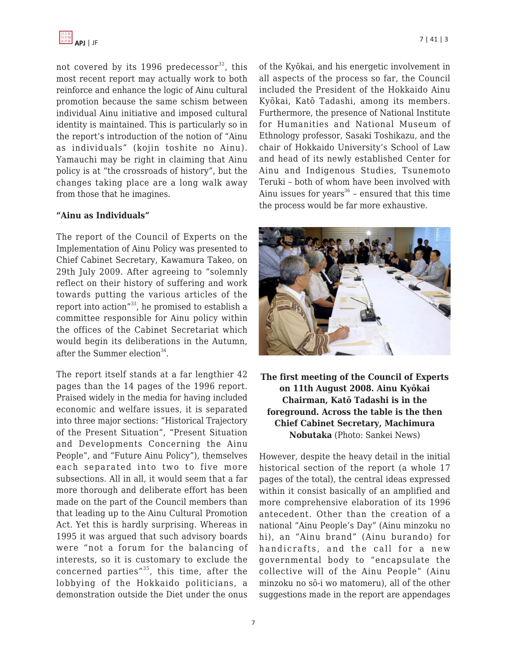

not covered by its 1996 predecessor $32$ , this most recent report may actually work to both reinforce and enhance the logic of Ainu cultural promotion because the same schism between individual Ainu initiative and imposed cultural identity is maintained. This is particularly so in the report's introduction of the notion of "Ainu as individuals" (kojin toshite no Ainu). Yamauchi may be right in claiming that Ainu policy is at "the crossroads of history", but the changes taking place are a long walk away from those that he imagines.

#### **"Ainu as Individuals"**

The report of the Council of Experts on the Implementation of Ainu Policy was presented to Chief Cabinet Secretary, Kawamura Takeo, on 29th July 2009. After agreeing to "solemnly reflect on their history of suffering and work towards putting the various articles of the report into action"<sup>33</sup>, he promised to establish a committee responsible for Ainu policy within the offices of the Cabinet Secretariat which would begin its deliberations in the Autumn, after the Summer election<sup>34</sup>.

The report itself stands at a far lengthier 42 pages than the 14 pages of the 1996 report. Praised widely in the media for having included economic and welfare issues, it is separated into three major sections: "Historical Trajectory of the Present Situation", "Present Situation and Developments Concerning the Ainu People", and "Future Ainu Policy"), themselves each separated into two to five more subsections. All in all, it would seem that a far more thorough and deliberate effort has been made on the part of the Council members than that leading up to the Ainu Cultural Promotion Act. Yet this is hardly surprising. Whereas in 1995 it was argued that such advisory boards were "not a forum for the balancing of interests, so it is customary to exclude the concerned parties" $35$ , this time, after the lobbying of the Hokkaido politicians, a demonstration outside the Diet under the onus of the Kyōkai, and his energetic involvement in all aspects of the process so far, the Council included the President of the Hokkaido Ainu Kyōkai, Katō Tadashi, among its members. Furthermore, the presence of National Institute for Humanities and National Museum of Ethnology professor, Sasaki Toshikazu, and the chair of Hokkaido University's School of Law and head of its newly established Center for Ainu and Indigenous Studies, Tsunemoto Teruki – both of whom have been involved with Ainu issues for years<sup>36</sup> - ensured that this time the process would be far more exhaustive.



**The first meeting of the Council of Experts on 11th August 2008. Ainu Kyōkai Chairman, Katō Tadashi is in the foreground. Across the table is the then Chief Cabinet Secretary, Machimura Nobutaka** (Photo: Sankei News)

However, despite the heavy detail in the initial historical section of the report (a whole 17 pages of the total), the central ideas expressed within it consist basically of an amplified and more comprehensive elaboration of its 1996 antecedent. Other than the creation of a national "Ainu People's Day" (Ainu minzoku no hi), an "Ainu brand" (Ainu burando) for handicrafts, and the call for a new governmental body to "encapsulate the collective will of the Ainu People" (Ainu minzoku no sō-i wo matomeru), all of the other suggestions made in the report are appendages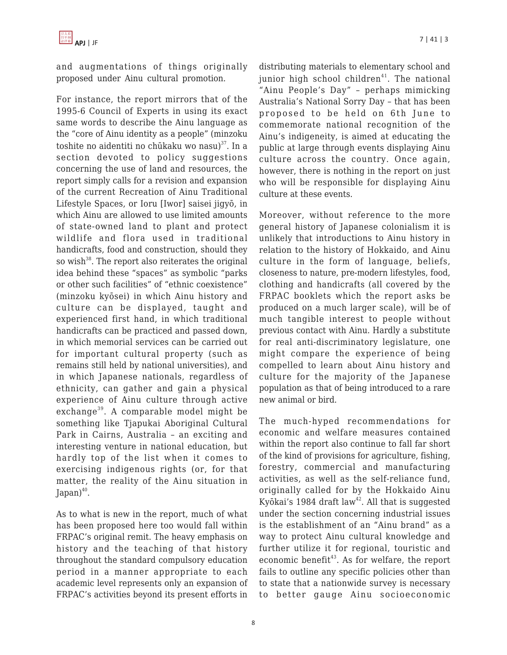and augmentations of things originally proposed under Ainu cultural promotion.

For instance, the report mirrors that of the 1995-6 Council of Experts in using its exact same words to describe the Ainu language as the "core of Ainu identity as a people" (minzoku toshite no aidentiti no chūkaku wo nasu) <sup>37</sup>. In a section devoted to policy suggestions concerning the use of land and resources, the report simply calls for a revision and expansion of the current Recreation of Ainu Traditional Lifestyle Spaces, or Ioru [Iwor] saisei jigyō, in which Ainu are allowed to use limited amounts of state-owned land to plant and protect wildlife and flora used in traditional handicrafts, food and construction, should they so wish<sup>38</sup>. The report also reiterates the original idea behind these "spaces" as symbolic "parks or other such facilities" of "ethnic coexistence" (minzoku kyōsei) in which Ainu history and culture can be displayed, taught and experienced first hand, in which traditional handicrafts can be practiced and passed down, in which memorial services can be carried out for important cultural property (such as remains still held by national universities), and in which Japanese nationals, regardless of ethnicity, can gather and gain a physical experience of Ainu culture through active exchange<sup>39</sup>. A comparable model might be something like Tjapukai Aboriginal Cultural Park in Cairns, Australia – an exciting and interesting venture in national education, but hardly top of the list when it comes to exercising indigenous rights (or, for that matter, the reality of the Ainu situation in Japan) $40$ .

As to what is new in the report, much of what has been proposed here too would fall within FRPAC's original remit. The heavy emphasis on history and the teaching of that history throughout the standard compulsory education period in a manner appropriate to each academic level represents only an expansion of FRPAC's activities beyond its present efforts in distributing materials to elementary school and junior high school children $41$ . The national "Ainu People's Day" – perhaps mimicking Australia's National Sorry Day – that has been proposed to be held on 6th June to commemorate national recognition of the Ainu's indigeneity, is aimed at educating the public at large through events displaying Ainu culture across the country. Once again, however, there is nothing in the report on just who will be responsible for displaying Ainu culture at these events.

Moreover, without reference to the more general history of Japanese colonialism it is unlikely that introductions to Ainu history in relation to the history of Hokkaido, and Ainu culture in the form of language, beliefs, closeness to nature, pre-modern lifestyles, food, clothing and handicrafts (all covered by the FRPAC booklets which the report asks be produced on a much larger scale), will be of much tangible interest to people without previous contact with Ainu. Hardly a substitute for real anti-discriminatory legislature, one might compare the experience of being compelled to learn about Ainu history and culture for the majority of the Japanese population as that of being introduced to a rare new animal or bird.

The much-hyped recommendations for economic and welfare measures contained within the report also continue to fall far short of the kind of provisions for agriculture, fishing, forestry, commercial and manufacturing activities, as well as the self-reliance fund, originally called for by the Hokkaido Ainu Kyōkai's 1984 draft law<sup>42</sup>. All that is suggested under the section concerning industrial issues is the establishment of an "Ainu brand" as a way to protect Ainu cultural knowledge and further utilize it for regional, touristic and economic benefit<sup>43</sup>. As for welfare, the report fails to outline any specific policies other than to state that a nationwide survey is necessary to better gauge Ainu socioeconomic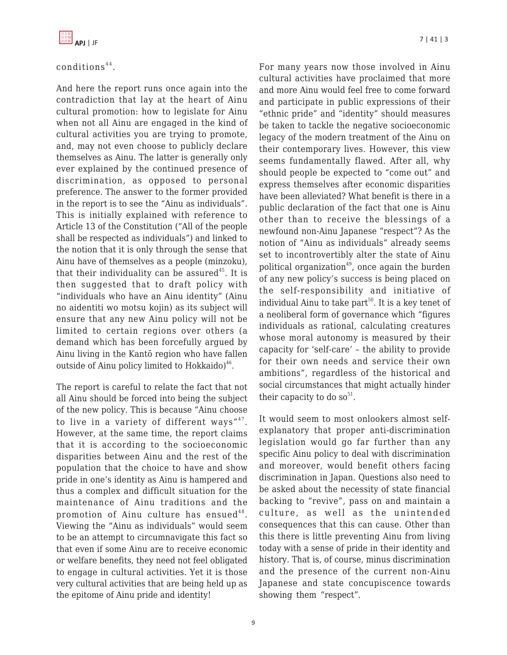

## conditions<sup>44</sup>.

And here the report runs once again into the contradiction that lay at the heart of Ainu cultural promotion: how to legislate for Ainu when not all Ainu are engaged in the kind of cultural activities you are trying to promote, and, may not even choose to publicly declare themselves as Ainu. The latter is generally only ever explained by the continued presence of discrimination, as opposed to personal preference. The answer to the former provided in the report is to see the "Ainu as individuals". This is initially explained with reference to Article 13 of the Constitution ("All of the people shall be respected as individuals") and linked to the notion that it is only through the sense that Ainu have of themselves as a people (minzoku), that their individuality can be assured<sup>45</sup>. It is then suggested that to draft policy with "individuals who have an Ainu identity" (Ainu no aidentiti wo motsu kojin) as its subject will ensure that any new Ainu policy will not be limited to certain regions over others (a demand which has been forcefully argued by Ainu living in the Kantō region who have fallen outside of Ainu policy limited to Hokkaido) $46$ .

The report is careful to relate the fact that not all Ainu should be forced into being the subject of the new policy. This is because "Ainu choose to live in a variety of different ways" $47$ . However, at the same time, the report claims that it is according to the socioeconomic disparities between Ainu and the rest of the population that the choice to have and show pride in one's identity as Ainu is hampered and thus a complex and difficult situation for the maintenance of Ainu traditions and the promotion of Ainu culture has ensued $^{48}$ . Viewing the "Ainu as individuals" would seem to be an attempt to circumnavigate this fact so that even if some Ainu are to receive economic or welfare benefits, they need not feel obligated to engage in cultural activities. Yet it is those very cultural activities that are being held up as the epitome of Ainu pride and identity!

For many years now those involved in Ainu cultural activities have proclaimed that more and more Ainu would feel free to come forward and participate in public expressions of their "ethnic pride" and "identity" should measures be taken to tackle the negative socioeconomic legacy of the modern treatment of the Ainu on their contemporary lives. However, this view seems fundamentally flawed. After all, why should people be expected to "come out" and express themselves after economic disparities have been alleviated? What benefit is there in a public declaration of the fact that one is Ainu other than to receive the blessings of a newfound non-Ainu Japanese "respect"? As the notion of "Ainu as individuals" already seems set to incontrovertibly alter the state of Ainu political organization $49$ , once again the burden of any new policy's success is being placed on the self-responsibility and initiative of individual Ainu to take part<sup>50</sup>. It is a key tenet of a neoliberal form of governance which "figures individuals as rational, calculating creatures whose moral autonomy is measured by their capacity for 'self-care' – the ability to provide for their own needs and service their own ambitions", regardless of the historical and social circumstances that might actually hinder their capacity to do so<sup>51</sup>.

It would seem to most onlookers almost selfexplanatory that proper anti-discrimination legislation would go far further than any specific Ainu policy to deal with discrimination and moreover, would benefit others facing discrimination in Japan. Questions also need to be asked about the necessity of state financial backing to "revive", pass on and maintain a culture, as well as the unintended consequences that this can cause. Other than this there is little preventing Ainu from living today with a sense of pride in their identity and history. That is, of course, minus discrimination and the presence of the current non-Ainu Japanese and state concupiscence towards showing them "respect".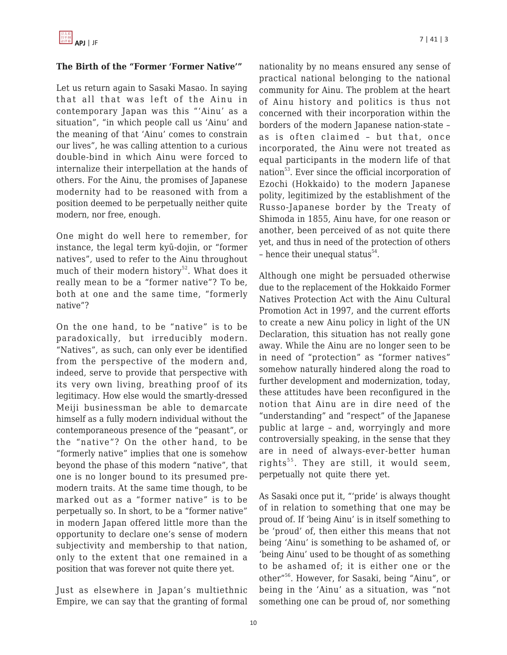## **The Birth of the "Former 'Former Native'"**

Let us return again to Sasaki Masao. In saying that all that was left of the Ainu in contemporary Japan was this "'Ainu' as a situation", "in which people call us 'Ainu' and the meaning of that 'Ainu' comes to constrain our lives", he was calling attention to a curious double-bind in which Ainu were forced to internalize their interpellation at the hands of others. For the Ainu, the promises of Japanese modernity had to be reasoned with from a position deemed to be perpetually neither quite modern, nor free, enough.

One might do well here to remember, for instance, the legal term kyū-dojin, or "former natives", used to refer to the Ainu throughout much of their modern history<sup>52</sup>. What does it really mean to be a "former native"? To be, both at one and the same time, "formerly native"?

On the one hand, to be "native" is to be paradoxically, but irreducibly modern. "Natives", as such, can only ever be identified from the perspective of the modern and, indeed, serve to provide that perspective with its very own living, breathing proof of its legitimacy. How else would the smartly-dressed Meiji businessman be able to demarcate himself as a fully modern individual without the contemporaneous presence of the "peasant", or the "native"? On the other hand, to be "formerly native" implies that one is somehow beyond the phase of this modern "native", that one is no longer bound to its presumed premodern traits. At the same time though, to be marked out as a "former native" is to be perpetually so. In short, to be a "former native" in modern Japan offered little more than the opportunity to declare one's sense of modern subjectivity and membership to that nation, only to the extent that one remained in a position that was forever not quite there yet.

Just as elsewhere in Japan's multiethnic Empire, we can say that the granting of formal nationality by no means ensured any sense of practical national belonging to the national community for Ainu. The problem at the heart of Ainu history and politics is thus not concerned with their incorporation within the borders of the modern Japanese nation-state – as is often claimed – but that, once incorporated, the Ainu were not treated as equal participants in the modern life of that nation $53$ . Ever since the official incorporation of Ezochi (Hokkaido) to the modern Japanese polity, legitimized by the establishment of the Russo-Japanese border by the Treaty of Shimoda in 1855, Ainu have, for one reason or another, been perceived of as not quite there yet, and thus in need of the protection of others - hence their unequal status<sup>54</sup>.

Although one might be persuaded otherwise due to the replacement of the Hokkaido Former Natives Protection Act with the Ainu Cultural Promotion Act in 1997, and the current efforts to create a new Ainu policy in light of the UN Declaration, this situation has not really gone away. While the Ainu are no longer seen to be in need of "protection" as "former natives" somehow naturally hindered along the road to further development and modernization, today, these attitudes have been reconfigured in the notion that Ainu are in dire need of the "understanding" and "respect" of the Japanese public at large – and, worryingly and more controversially speaking, in the sense that they are in need of always-ever-better human rights<sup>55</sup>. They are still, it would seem, perpetually not quite there yet.

As Sasaki once put it, "'pride' is always thought of in relation to something that one may be proud of. If 'being Ainu' is in itself something to be 'proud' of, then either this means that not being 'Ainu' is something to be ashamed of, or 'being Ainu' used to be thought of as something to be ashamed of; it is either one or the other"<sup>56</sup>. However, for Sasaki, being "Ainu", or being in the 'Ainu' as a situation, was "not something one can be proud of, nor something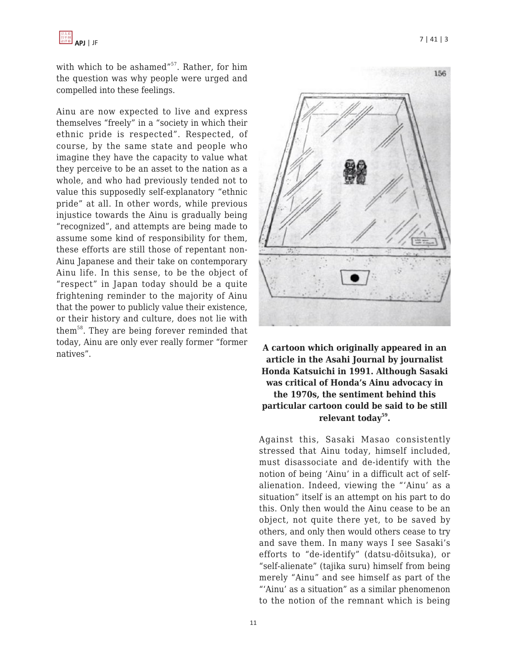with which to be ashamed"<sup>57</sup>. Rather, for him the question was why people were urged and compelled into these feelings.

Ainu are now expected to live and express themselves "freely" in a "society in which their ethnic pride is respected". Respected, of course, by the same state and people who imagine they have the capacity to value what they perceive to be an asset to the nation as a whole, and who had previously tended not to value this supposedly self-explanatory "ethnic pride" at all. In other words, while previous injustice towards the Ainu is gradually being "recognized", and attempts are being made to assume some kind of responsibility for them, these efforts are still those of repentant non-Ainu Japanese and their take on contemporary Ainu life. In this sense, to be the object of "respect" in Japan today should be a quite frightening reminder to the majority of Ainu that the power to publicly value their existence, or their history and culture, does not lie with them<sup>58</sup>. They are being forever reminded that today, Ainu are only ever really former "former natives". **A cartoon which originally appeared in an**



**article in the Asahi Journal by journalist Honda Katsuichi in 1991. Although Sasaki was critical of Honda's Ainu advocacy in the 1970s, the sentiment behind this particular cartoon could be said to be still relevant today<sup>59</sup> .**

Against this, Sasaki Masao consistently stressed that Ainu today, himself included, must disassociate and de-identify with the notion of being 'Ainu' in a difficult act of selfalienation. Indeed, viewing the "'Ainu' as a situation" itself is an attempt on his part to do this. Only then would the Ainu cease to be an object, not quite there yet, to be saved by others, and only then would others cease to try and save them. In many ways I see Sasaki's efforts to "de-identify" (datsu-dōitsuka), or "self-alienate" (tajika suru) himself from being merely "Ainu" and see himself as part of the "'Ainu' as a situation" as a similar phenomenon to the notion of the remnant which is being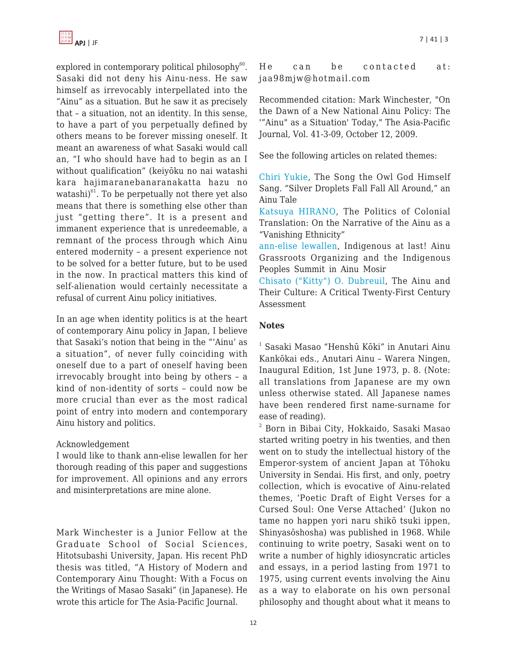

explored in contemporary political philosophy $60$ . Sasaki did not deny his Ainu-ness. He saw himself as irrevocably interpellated into the "Ainu" as a situation. But he saw it as precisely that – a situation, not an identity. In this sense, to have a part of you perpetually defined by others means to be forever missing oneself. It meant an awareness of what Sasaki would call an, "I who should have had to begin as an I without qualification" (keiyōku no nai watashi kara hajimaranebanaranakatta hazu no watashi) <sup>61</sup>. To be perpetually not there yet also means that there is something else other than just "getting there". It is a present and immanent experience that is unredeemable, a remnant of the process through which Ainu entered modernity – a present experience not to be solved for a better future, but to be used in the now. In practical matters this kind of self-alienation would certainly necessitate a refusal of current Ainu policy initiatives.

In an age when identity politics is at the heart of contemporary Ainu policy in Japan, I believe that Sasaki's notion that being in the "'Ainu' as a situation", of never fully coinciding with oneself due to a part of oneself having been irrevocably brought into being by others – a kind of non-identity of sorts – could now be more crucial than ever as the most radical point of entry into modern and contemporary Ainu history and politics.

#### Acknowledgement

I would like to thank ann-elise lewallen for her thorough reading of this paper and suggestions for improvement. All opinions and any errors and misinterpretations are mine alone.

Mark Winchester is a Junior Fellow at the Graduate School of Social Sciences, Hitotsubashi University, Japan. His recent PhD thesis was titled, "A History of Modern and Contemporary Ainu Thought: With a Focus on the Writings of Masao Sasaki" (in Japanese). He wrote this article for The Asia-Pacific Journal.

He can be contacted at: jaa98mjw@hotmail.com

Recommended citation: Mark Winchester, "On the Dawn of a New National Ainu Policy: The '"Ainu" as a Situation' Today," The Asia-Pacific Journal, Vol. 41-3-09, October 12, 2009.

See the following articles on related themes:

[Chiri Yukie](http://japanfocus.org/-Chiri-Yukie/3026), The Song the Owl God Himself Sang. "Silver Droplets Fall Fall All Around," an Ainu Tale

[Katsuya HIRANO,](http://japanfocus.org/-Katsuya-HIRANO/3013) The Politics of Colonial Translation: On the Narrative of the Ainu as a "Vanishing Ethnicity"

[ann-elise lewallen,](http://japanfocus.org/-ann_elise-lewallen/2971) Indigenous at last! Ainu Grassroots Organizing and the Indigenous Peoples Summit in Ainu Mosir

[Chisato \("Kitty"\) O. Dubreuil](http://japanfocus.org/-Chisato__Kitty_-Dubreuil/2589), The Ainu and Their Culture: A Critical Twenty-First Century Assessment

#### **Notes**

1 Sasaki Masao "Henshū Kōki" in Anutari Ainu Kankōkai eds., Anutari Ainu – Warera Ningen, Inaugural Edition, 1st June 1973, p. 8. (Note: all translations from Japanese are my own unless otherwise stated. All Japanese names have been rendered first name-surname for ease of reading).

2 Born in Bibai City, Hokkaido, Sasaki Masao started writing poetry in his twenties, and then went on to study the intellectual history of the Emperor-system of ancient Japan at Tōhoku University in Sendai. His first, and only, poetry collection, which is evocative of Ainu-related themes, 'Poetic Draft of Eight Verses for a Cursed Soul: One Verse Attached' (Jukon no tame no happen yori naru shikō tsuki ippen, Shinyasōshosha) was published in 1968. While continuing to write poetry, Sasaki went on to write a number of highly idiosyncratic articles and essays, in a period lasting from 1971 to 1975, using current events involving the Ainu as a way to elaborate on his own personal philosophy and thought about what it means to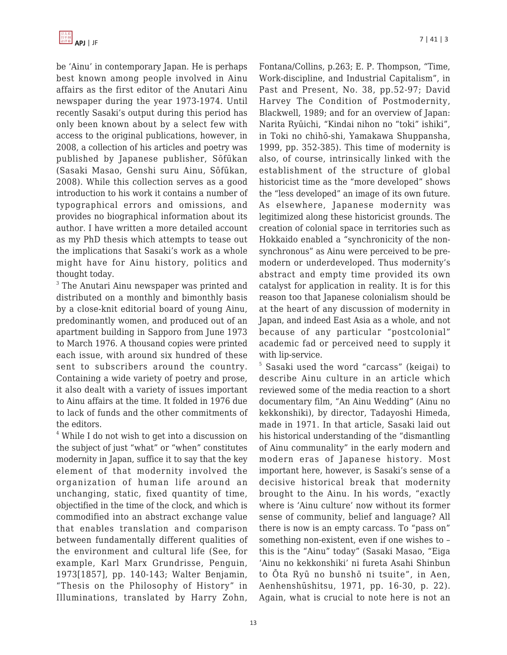

be 'Ainu' in contemporary Japan. He is perhaps best known among people involved in Ainu affairs as the first editor of the Anutari Ainu newspaper during the year 1973-1974. Until recently Sasaki's output during this period has only been known about by a select few with access to the original publications, however, in 2008, a collection of his articles and poetry was published by Japanese publisher, Sōfūkan (Sasaki Masao, Genshi suru Ainu, Sōfūkan, 2008). While this collection serves as a good introduction to his work it contains a number of typographical errors and omissions, and provides no biographical information about its author. I have written a more detailed account as my PhD thesis which attempts to tease out the implications that Sasaki's work as a whole might have for Ainu history, politics and thought today.

 $3$  The Anutari Ainu newspaper was printed and distributed on a monthly and bimonthly basis by a close-knit editorial board of young Ainu, predominantly women, and produced out of an apartment building in Sapporo from June 1973 to March 1976. A thousand copies were printed each issue, with around six hundred of these sent to subscribers around the country. Containing a wide variety of poetry and prose, it also dealt with a variety of issues important to Ainu affairs at the time. It folded in 1976 due to lack of funds and the other commitments of the editors.

4 While I do not wish to get into a discussion on the subject of just "what" or "when" constitutes modernity in Japan, suffice it to say that the key element of that modernity involved the organization of human life around an unchanging, static, fixed quantity of time, objectified in the time of the clock, and which is commodified into an abstract exchange value that enables translation and comparison between fundamentally different qualities of the environment and cultural life (See, for example, Karl Marx Grundrisse, Penguin, 1973[1857], pp. 140-143; Walter Benjamin, "Thesis on the Philosophy of History" in Illuminations, translated by Harry Zohn,

Fontana/Collins, p.263; E. P. Thompson, "Time, Work-discipline, and Industrial Capitalism", in Past and Present, No. 38, pp.52-97; David Harvey The Condition of Postmodernity, Blackwell, 1989; and for an overview of Japan: Narita Ryūichi, "Kindai nihon no "toki" ishiki", in Toki no chihō-shi, Yamakawa Shuppansha, 1999, pp. 352-385). This time of modernity is also, of course, intrinsically linked with the establishment of the structure of global historicist time as the "more developed" shows the "less developed" an image of its own future. As elsewhere, Japanese modernity was legitimized along these historicist grounds. The creation of colonial space in territories such as Hokkaido enabled a "synchronicity of the nonsynchronous" as Ainu were perceived to be premodern or underdeveloped. Thus modernity's abstract and empty time provided its own catalyst for application in reality. It is for this reason too that Japanese colonialism should be at the heart of any discussion of modernity in Japan, and indeed East Asia as a whole, and not because of any particular "postcolonial" academic fad or perceived need to supply it with lip-service.

5 Sasaki used the word "carcass" (keigai) to describe Ainu culture in an article which reviewed some of the media reaction to a short documentary film, "An Ainu Wedding" (Ainu no kekkonshiki), by director, Tadayoshi Himeda, made in 1971. In that article, Sasaki laid out his historical understanding of the "dismantling of Ainu communality" in the early modern and modern eras of Japanese history. Most important here, however, is Sasaki's sense of a decisive historical break that modernity brought to the Ainu. In his words, "exactly where is 'Ainu culture' now without its former sense of community, belief and language? All there is now is an empty carcass. To "pass on" something non-existent, even if one wishes to – this is the "Ainu" today" (Sasaki Masao, "Eiga 'Ainu no kekkonshiki' ni fureta Asahi Shinbun to Ōta Ryū no bunshō ni tsuite", in Aen, Aenhenshūshitsu, 1971, pp. 16-30, p. 22). Again, what is crucial to note here is not an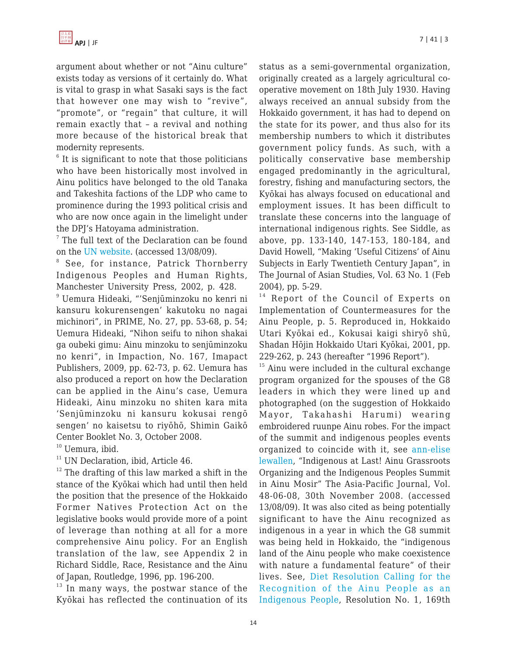argument about whether or not "Ainu culture" exists today as versions of it certainly do. What is vital to grasp in what Sasaki says is the fact that however one may wish to "revive", "promote", or "regain" that culture, it will remain exactly that – a revival and nothing more because of the historical break that modernity represents.

 $6$  It is significant to note that those politicians who have been historically most involved in Ainu politics have belonged to the old Tanaka and Takeshita factions of the LDP who came to prominence during the 1993 political crisis and who are now once again in the limelight under the DPJ's Hatoyama administration.

<sup>7</sup> The full text of the Declaration can be found on the [UN website](http://www.un.org/esa/socdev/unpfii/en/drip.html). (accessed 13/08/09).

<sup>8</sup> See, for instance, Patrick Thornberry Indigenous Peoples and Human Rights, Manchester University Press, 2002, p. 428.

9 Uemura Hideaki, "'Senjūminzoku no kenri ni kansuru kokurensengen' kakutoku no nagai michinori", in PRIME, No. 27, pp. 53-68, p. 54; Uemura Hideaki, "Nihon seifu to nihon shakai ga oubeki gimu: Ainu minzoku to senjūminzoku no kenri", in Impaction, No. 167, Imapact Publishers, 2009, pp. 62-73, p. 62. Uemura has also produced a report on how the Declaration can be applied in the Ainu's case, Uemura Hideaki, Ainu minzoku no shiten kara mita 'Senjūminzoku ni kansuru kokusai rengō sengen' no kaisetsu to riyōhō, Shimin Gaikō Center Booklet No. 3, October 2008.

 $10$  Uemura, ibid.

<sup>11</sup> UN Declaration, ibid, Article 46.

 $12$  The drafting of this law marked a shift in the stance of the Kyōkai which had until then held the position that the presence of the Hokkaido Former Natives Protection Act on the legislative books would provide more of a point of leverage than nothing at all for a more comprehensive Ainu policy. For an English translation of the law, see Appendix 2 in Richard Siddle, Race, Resistance and the Ainu of Japan, Routledge, 1996, pp. 196-200.

 $13$  In many ways, the postwar stance of the Kyōkai has reflected the continuation of its

status as a semi-governmental organization, originally created as a largely agricultural cooperative movement on 18th July 1930. Having always received an annual subsidy from the Hokkaido government, it has had to depend on the state for its power, and thus also for its membership numbers to which it distributes government policy funds. As such, with a politically conservative base membership engaged predominantly in the agricultural, forestry, fishing and manufacturing sectors, the Kyōkai has always focused on educational and employment issues. It has been difficult to translate these concerns into the language of international indigenous rights. See Siddle, as above, pp. 133-140, 147-153, 180-184, and David Howell, "Making 'Useful Citizens' of Ainu Subjects in Early Twentieth Century Japan", in The Journal of Asian Studies, Vol. 63 No. 1 (Feb 2004), pp. 5-29.

<sup>14</sup> Report of the Council of Experts on Implementation of Countermeasures for the Ainu People, p. 5. Reproduced in, Hokkaido Utari Kyōkai ed., Kokusai kaigi shiryō shū, Shadan Hōjin Hokkaido Utari Kyōkai, 2001, pp. 229-262, p. 243 (hereafter "1996 Report").

<sup>15</sup> Ainu were included in the cultural exchange program organized for the spouses of the G8 leaders in which they were lined up and photographed (on the suggestion of Hokkaido Mayor, Takahashi Harumi) wearing embroidered ruunpe Ainu robes. For the impact of the summit and indigenous peoples events organized to coincide with it, see [ann-elise](http://www.japanfocus.org/-ann_elise-lewallen/2971) [lewallen,](http://www.japanfocus.org/-ann_elise-lewallen/2971) "Indigenous at Last! Ainu Grassroots Organizing and the Indigenous Peoples Summit in Ainu Mosir" The Asia-Pacific Journal, Vol. 48-06-08, 30th November 2008. (accessed 13/08/09). It was also cited as being potentially significant to have the Ainu recognized as indigenous in a year in which the G8 summit was being held in Hokkaido, the "indigenous land of the Ainu people who make coexistence with nature a fundamental feature" of their lives. See, [Diet Resolution Calling for the](http://www.shugiin.go.jp/itdb_gian.nsf/html/gian/honbun/ketsugian/g16913001.htm) [Recognition of the Ainu People as an](http://www.shugiin.go.jp/itdb_gian.nsf/html/gian/honbun/ketsugian/g16913001.htm) [Indigenous People](http://www.shugiin.go.jp/itdb_gian.nsf/html/gian/honbun/ketsugian/g16913001.htm), Resolution No. 1, 169th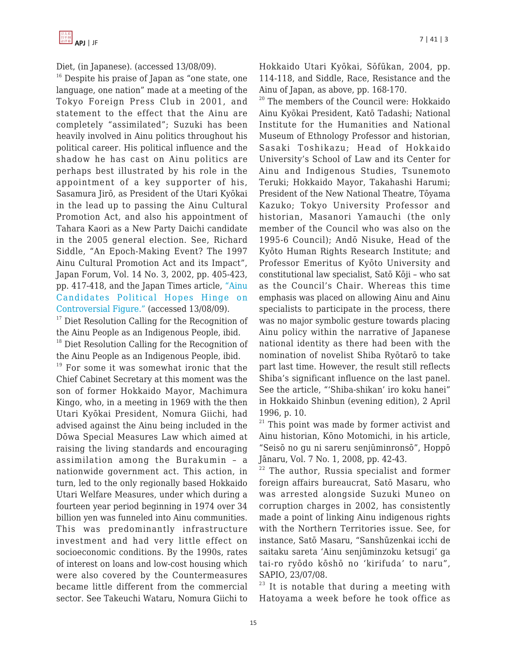

Diet, (in Japanese). (accessed 13/08/09).

 $16$  Despite his praise of Japan as "one state, one language, one nation" made at a meeting of the Tokyo Foreign Press Club in 2001, and statement to the effect that the Ainu are completely "assimilated"; Suzuki has been heavily involved in Ainu politics throughout his political career. His political influence and the shadow he has cast on Ainu politics are perhaps best illustrated by his role in the appointment of a key supporter of his, Sasamura Jirō, as President of the Utari Kyōkai in the lead up to passing the Ainu Cultural Promotion Act, and also his appointment of Tahara Kaori as a New Party Daichi candidate in the 2005 general election. See, Richard Siddle, "An Epoch-Making Event? The 1997 Ainu Cultural Promotion Act and its Impact", Japan Forum, Vol. 14 No. 3, 2002, pp. 405-423, pp. 417-418, and the Japan Times article, ["Ainu](http://search.japantimes.co.jp/cgi-bin/nn20070717f1.html) [Candidates Political Hopes Hinge on](http://search.japantimes.co.jp/cgi-bin/nn20070717f1.html) [Controversial Figure."](http://search.japantimes.co.jp/cgi-bin/nn20070717f1.html) (accessed 13/08/09).

<sup>17</sup> Diet Resolution Calling for the Recognition of the Ainu People as an Indigenous People, ibid.

<sup>18</sup> Diet Resolution Calling for the Recognition of the Ainu People as an Indigenous People, ibid.

<sup>19</sup> For some it was somewhat ironic that the Chief Cabinet Secretary at this moment was the son of former Hokkaido Mayor, Machimura Kingo, who, in a meeting in 1969 with the then Utari Kyōkai President, Nomura Giichi, had advised against the Ainu being included in the Dōwa Special Measures Law which aimed at raising the living standards and encouraging assimilation among the Burakumin – a nationwide government act. This action, in turn, led to the only regionally based Hokkaido Utari Welfare Measures, under which during a fourteen year period beginning in 1974 over 34 billion yen was funneled into Ainu communities. This was predominantly infrastructure investment and had very little effect on socioeconomic conditions. By the 1990s, rates of interest on loans and low-cost housing which were also covered by the Countermeasures became little different from the commercial sector. See Takeuchi Wataru, Nomura Giichi to

Hokkaido Utari Kyōkai, Sōfūkan, 2004, pp. 114-118, and Siddle, Race, Resistance and the Ainu of Japan, as above, pp. 168-170.

 $20$  The members of the Council were: Hokkaido Ainu Kyōkai President, Katō Tadashi; National Institute for the Humanities and National Museum of Ethnology Professor and historian, Sasaki Toshikazu; Head of Hokkaido University's School of Law and its Center for Ainu and Indigenous Studies, Tsunemoto Teruki; Hokkaido Mayor, Takahashi Harumi; President of the New National Theatre, Tōyama Kazuko; Tokyo University Professor and historian, Masanori Yamauchi (the only member of the Council who was also on the 1995-6 Council); Andō Nisuke, Head of the Kyōto Human Rights Research Institute; and Professor Emeritus of Kyōto University and constitutional law specialist, Satō Kōji – who sat as the Council's Chair. Whereas this time emphasis was placed on allowing Ainu and Ainu specialists to participate in the process, there was no major symbolic gesture towards placing Ainu policy within the narrative of Japanese national identity as there had been with the nomination of novelist Shiba Ryōtarō to take part last time. However, the result still reflects Shiba's significant influence on the last panel. See the article, "'Shiba-shikan' iro koku hanei" in Hokkaido Shinbun (evening edition), 2 April 1996, p. 10.

<sup>21</sup> This point was made by former activist and Ainu historian, Kōno Motomichi, in his article, "Seisō no gu ni sareru senjūminronsō", Hoppō Jānaru, Vol. 7 No. 1, 2008, pp. 42-43.

 $22$  The author, Russia specialist and former foreign affairs bureaucrat, Satō Masaru, who was arrested alongside Suzuki Muneo on corruption charges in 2002, has consistently made a point of linking Ainu indigenous rights with the Northern Territories issue. See, for instance, Satō Masaru, "Sanshūzenkai icchi de saitaku sareta 'Ainu senjūminzoku ketsugi' ga tai-ro ryōdo kōshō no 'kirifuda' to naru", SAPIO, 23/07/08.

 $23$  It is notable that during a meeting with Hatoyama a week before he took office as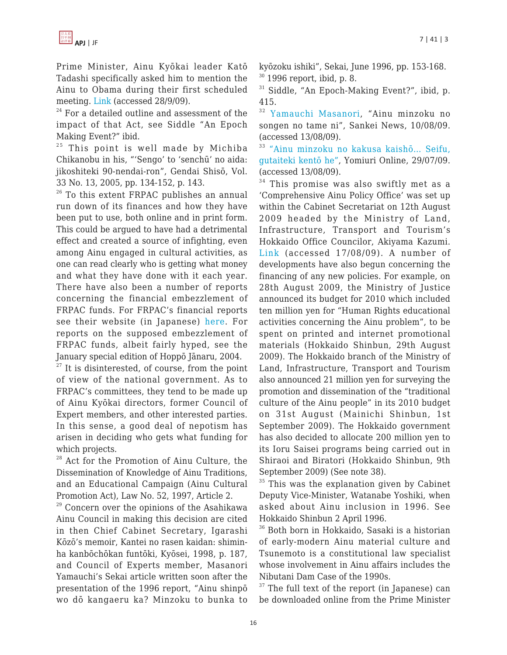Prime Minister, Ainu Kyōkai leader Katō Tadashi specifically asked him to mention the Ainu to Obama during their first scheduled meeting. [Link](http://mytown.asahi.com/hokkaido/news.php?k_id=01000760909100001) (accessed 28/9/09).

 $24$  For a detailed outline and assessment of the impact of that Act, see Siddle "An Epoch Making Event?" ibid.

 $25$  This point is well made by Michiba Chikanobu in his, "'Sengo' to 'senchū' no aida: jikoshiteki 90-nendai-ron", Gendai Shisō, Vol. 33 No. 13, 2005, pp. 134-152, p. 143.

<sup>26</sup> To this extent FRPAC publishes an annual run down of its finances and how they have been put to use, both online and in print form. This could be argued to have had a detrimental effect and created a source of infighting, even among Ainu engaged in cultural activities, as one can read clearly who is getting what money and what they have done with it each year. There have also been a number of reports concerning the financial embezzlement of FRPAC funds. For FRPAC's financial reports see their website (in Japanese) [here.](http://www.frpac.or.jp/) For reports on the supposed embezzlement of FRPAC funds, albeit fairly hyped, see the January special edition of Hoppō Jānaru, 2004.

 $27$  It is disinterested, of course, from the point of view of the national government. As to FRPAC's committees, they tend to be made up of Ainu Kyōkai directors, former Council of Expert members, and other interested parties. In this sense, a good deal of nepotism has arisen in deciding who gets what funding for which projects.

<sup>28</sup> Act for the Promotion of Ainu Culture, the Dissemination of Knowledge of Ainu Traditions, and an Educational Campaign (Ainu Cultural Promotion Act), Law No. 52, 1997, Article 2.

<sup>29</sup> Concern over the opinions of the Asahikawa Ainu Council in making this decision are cited in then Chief Cabinet Secretary, Igarashi Kōzō's memoir, Kantei no rasen kaidan: shiminha kanbōchōkan funtōki, Kyōsei, 1998, p. 187, and Council of Experts member, Masanori Yamauchi's Sekai article written soon after the presentation of the 1996 report, "Ainu shinpō wo dō kangaeru ka? Minzoku to bunka to

kyōzoku ishiki", Sekai, June 1996, pp. 153-168.  $30$  1996 report, ibid, p. 8.

<sup>31</sup> Siddle, "An Epoch-Making Event?", ibid, p. 415.

<sup>32</sup> [Yamauchi Masanori](http://sankei.jp.msn.com/culture/academic/090810/acd0908100308003-n1.htm), "Ainu minzoku no songen no tame ni", Sankei News, 10/08/09. (accessed 13/08/09).

<sup>33</sup> ["Ainu minzoku no kakusa kaishō… Seifu,](http://www.yomiuri.co.jp/politics/news/20090729-OYT1T00815.htm?from=navlp) [gutaiteki kentō he"](http://www.yomiuri.co.jp/politics/news/20090729-OYT1T00815.htm?from=navlp), Yomiuri Online, 29/07/09. (accessed 13/08/09).

 $34$  This promise was also swiftly met as a 'Comprehensive Ainu Policy Office' was set up within the Cabinet Secretariat on 12th August 2009 headed by the Ministry of Land, Infrastructure, Transport and Tourism's Hokkaido Office Councilor, Akiyama Kazumi. [Link](http://www.hokkaido-np.co.jp/news/politics/182470.html) (accessed 17/08/09). A number of developments have also begun concerning the financing of any new policies. For example, on 28th August 2009, the Ministry of Justice announced its budget for 2010 which included ten million yen for "Human Rights educational activities concerning the Ainu problem", to be spent on printed and internet promotional materials (Hokkaido Shinbun, 29th August 2009). The Hokkaido branch of the Ministry of Land, Infrastructure, Transport and Tourism also announced 21 million yen for surveying the promotion and dissemination of the "traditional culture of the Ainu people" in its 2010 budget on 31st August (Mainichi Shinbun, 1st September 2009). The Hokkaido government has also decided to allocate 200 million yen to its Ioru Saisei programs being carried out in Shiraoi and Biratori (Hokkaido Shinbun, 9th September 2009) (See note 38).

 $35$  This was the explanation given by Cabinet Deputy Vice-Minister, Watanabe Yoshiki, when asked about Ainu inclusion in 1996. See Hokkaido Shinbun 2 April 1996.

<sup>36</sup> Both born in Hokkaido, Sasaki is a historian of early-modern Ainu material culture and Tsunemoto is a constitutional law specialist whose involvement in Ainu affairs includes the Nibutani Dam Case of the 1990s.

 $37$  The full text of the report (in Japanese) can be downloaded online from the Prime Minister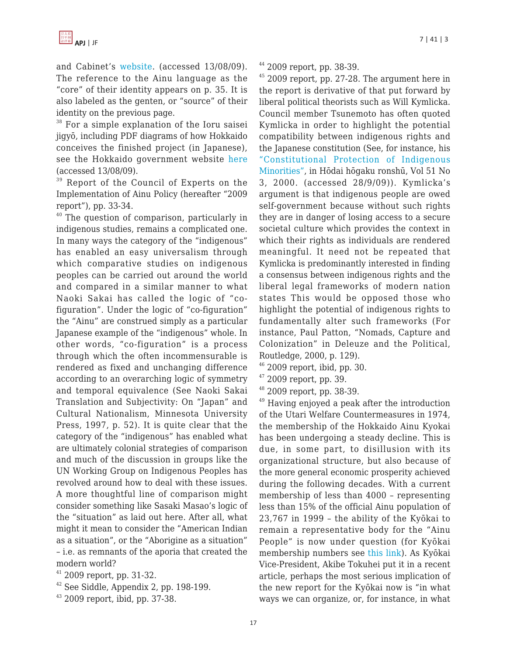and Cabinet's [website](http://www.kantei.go.jp/jp/kakugikettei/index.html). (accessed 13/08/09). The reference to the Ainu language as the "core" of their identity appears on p. 35. It is also labeled as the genten, or "source" of their identity on the previous page.

<sup>38</sup> For a simple explanation of the Ioru saisei jigyō, including PDF diagrams of how Hokkaido conceives the finished project (in Japanese), see the Hokkaido government website [here](http://www.pref.hokkaido.lg.jp/ks/sum/soumuka/ainu/news01_iorusuisin1.htm) (accessed 13/08/09).

<sup>39</sup> Report of the Council of Experts on the Implementation of Ainu Policy (hereafter "2009 report"), pp. 33-34.

<sup>40</sup> The question of comparison, particularly in indigenous studies, remains a complicated one. In many ways the category of the "indigenous" has enabled an easy universalism through which comparative studies on indigenous peoples can be carried out around the world and compared in a similar manner to what Naoki Sakai has called the logic of "cofiguration". Under the logic of "co-figuration" the "Ainu" are construed simply as a particular Japanese example of the "indigenous" whole. In other words, "co-figuration" is a process through which the often incommensurable is rendered as fixed and unchanging difference according to an overarching logic of symmetry and temporal equivalence (See Naoki Sakai Translation and Subjectivity: On "Japan" and Cultural Nationalism, Minnesota University Press, 1997, p. 52). It is quite clear that the category of the "indigenous" has enabled what are ultimately colonial strategies of comparison and much of the discussion in groups like the UN Working Group on Indigenous Peoples has revolved around how to deal with these issues. A more thoughtful line of comparison might consider something like Sasaki Masao's logic of the "situation" as laid out here. After all, what might it mean to consider the "American Indian as a situation", or the "Aborigine as a situation" – i.e. as remnants of the aporia that created the modern world?

 $41$  2009 report, pp. 31-32.

 $42$  See Siddle, Appendix 2, pp. 198-199.

 $43$  2009 report, ibid, pp. 37-38.

 $44$  2009 report, pp. 38-39.

<sup>45</sup> 2009 report, pp. 27-28. The argument here in the report is derivative of that put forward by liberal political theorists such as Will Kymlicka. Council member Tsunemoto has often quoted Kymlicka in order to highlight the potential compatibility between indigenous rights and the Japanese constitution (See, for instance, his ["Constitutional Protection of Indigenous](http://eprints.lib.hokudai.ac.jp/dspace/bitstream/2115/15017/1/51(3)_p320-310.pdf) [Minorities",](http://eprints.lib.hokudai.ac.jp/dspace/bitstream/2115/15017/1/51(3)_p320-310.pdf) in Hōdai hōgaku ronshū, Vol 51 No 3, 2000. (accessed 28/9/09)). Kymlicka's argument is that indigenous people are owed self-government because without such rights they are in danger of losing access to a secure societal culture which provides the context in which their rights as individuals are rendered meaningful. It need not be repeated that Kymlicka is predominantly interested in finding a consensus between indigenous rights and the liberal legal frameworks of modern nation states This would be opposed those who highlight the potential of indigenous rights to fundamentally alter such frameworks (For instance, Paul Patton, "Nomads, Capture and Colonization" in Deleuze and the Political, Routledge, 2000, p. 129).

 $46$  2009 report, ibid, pp. 30.

 $47,2009$  report, pp. 39.

 $48$  2009 report, pp. 38-39.

<sup>49</sup> Having enjoyed a peak after the introduction of the Utari Welfare Countermeasures in 1974, the membership of the Hokkaido Ainu Kyokai has been undergoing a steady decline. This is due, in some part, to disillusion with its organizational structure, but also because of the more general economic prosperity achieved during the following decades. With a current membership of less than 4000 – representing less than 15% of the official Ainu population of 23,767 in 1999 – the ability of the Kyōkai to remain a representative body for the "Ainu People" is now under question (for Kyōkai membership numbers see [this link\)](http://www.ainu-assn.or.jp/data/pdfupld/pdffile/1243047527__shibucyouichiran.pdf accessed 5/10/09). As Kyōkai Vice-President, Akibe Tokuhei put it in a recent article, perhaps the most serious implication of the new report for the Kyōkai now is "in what ways we can organize, or, for instance, in what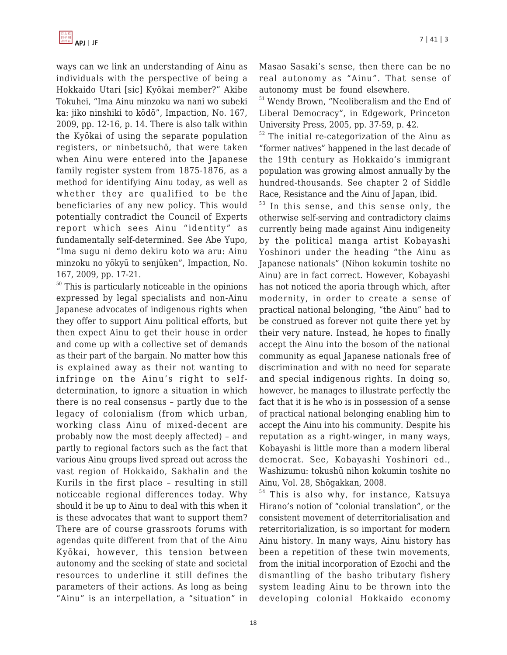ways can we link an understanding of Ainu as individuals with the perspective of being a Hokkaido Utari [sic] Kyōkai member?" Akibe Tokuhei, "Ima Ainu minzoku wa nani wo subeki ka: jiko ninshiki to kōdō", Impaction, No. 167, 2009, pp. 12-16, p. 14. There is also talk within the Kyōkai of using the separate population registers, or ninbetsuchō, that were taken when Ainu were entered into the Japanese family register system from 1875-1876, as a method for identifying Ainu today, as well as whether they are qualified to be the beneficiaries of any new policy. This would potentially contradict the Council of Experts report which sees Ainu "identity" as fundamentally self-determined. See Abe Yupo, "Ima sugu ni demo dekiru koto wa aru: Ainu minzoku no yōkyū to senjūken", Impaction, No. 167, 2009, pp. 17-21.

<sup>50</sup> This is particularly noticeable in the opinions expressed by legal specialists and non-Ainu Japanese advocates of indigenous rights when they offer to support Ainu political efforts, but then expect Ainu to get their house in order and come up with a collective set of demands as their part of the bargain. No matter how this is explained away as their not wanting to infringe on the Ainu's right to selfdetermination, to ignore a situation in which there is no real consensus – partly due to the legacy of colonialism (from which urban, working class Ainu of mixed-decent are probably now the most deeply affected) – and partly to regional factors such as the fact that various Ainu groups lived spread out across the vast region of Hokkaido, Sakhalin and the Kurils in the first place – resulting in still noticeable regional differences today. Why should it be up to Ainu to deal with this when it is these advocates that want to support them? There are of course grassroots forums with agendas quite different from that of the Ainu Kyōkai, however, this tension between autonomy and the seeking of state and societal resources to underline it still defines the parameters of their actions. As long as being "Ainu" is an interpellation, a "situation" in

Masao Sasaki's sense, then there can be no real autonomy as "Ainu". That sense of autonomy must be found elsewhere.

<sup>51</sup> Wendy Brown, "Neoliberalism and the End of Liberal Democracy", in Edgework, Princeton University Press, 2005, pp. 37-59, p. 42.

<sup>52</sup> The initial re-categorization of the Ainu as "former natives" happened in the last decade of the 19th century as Hokkaido's immigrant population was growing almost annually by the hundred-thousands. See chapter 2 of Siddle Race, Resistance and the Ainu of Japan, ibid.

<sup>53</sup> In this sense, and this sense only, the otherwise self-serving and contradictory claims currently being made against Ainu indigeneity by the political manga artist Kobayashi Yoshinori under the heading "the Ainu as Japanese nationals" (Nihon kokumin toshite no Ainu) are in fact correct. However, Kobayashi has not noticed the aporia through which, after modernity, in order to create a sense of practical national belonging, "the Ainu" had to be construed as forever not quite there yet by their very nature. Instead, he hopes to finally accept the Ainu into the bosom of the national community as equal Japanese nationals free of discrimination and with no need for separate and special indigenous rights. In doing so, however, he manages to illustrate perfectly the fact that it is he who is in possession of a sense of practical national belonging enabling him to accept the Ainu into his community. Despite his reputation as a right-winger, in many ways, Kobayashi is little more than a modern liberal democrat. See, Kobayashi Yoshinori ed., Washizumu: tokushū nihon kokumin toshite no Ainu, Vol. 28, Shōgakkan, 2008.

<sup>54</sup> This is also why, for instance, Katsuya Hirano's notion of "colonial translation", or the consistent movement of deterritorialisation and reterritorialization, is so important for modern Ainu history. In many ways, Ainu history has been a repetition of these twin movements, from the initial incorporation of Ezochi and the dismantling of the basho tributary fishery system leading Ainu to be thrown into the developing colonial Hokkaido economy